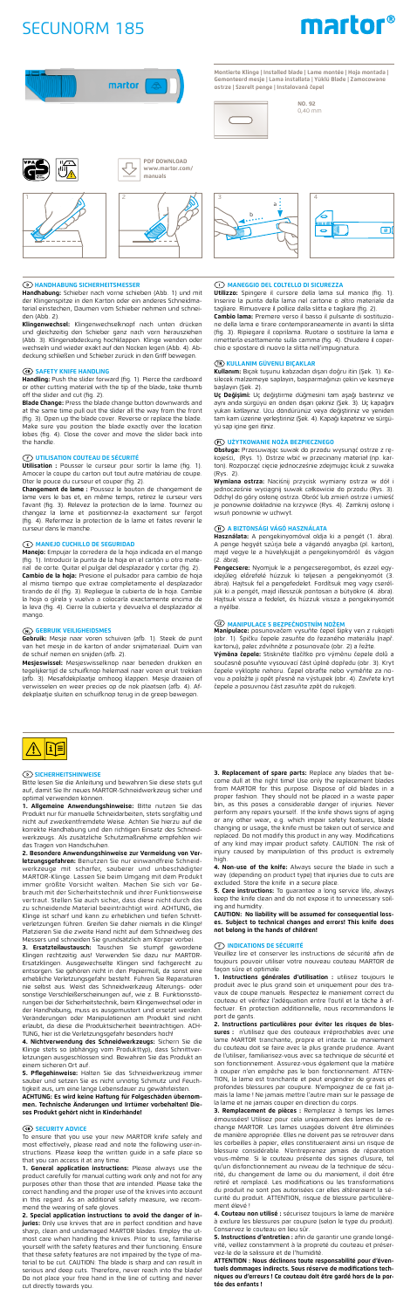# SECUNORM 185





**Montierte Klinge | Installed blade | Lame montée | Hoja montada | Gemonteerd mesje | Lama installata | Yüklü Blade | Zamocowane** 

**ostrze | Szerelt penge | Instalovaná čepel**



**NO. 92**  0,40 mm

# **HANDHABUNG SICHERHEITSMESSER**

**Handhabung:** Schieber nach vorne schieben (Abb. 1) und mit der Klingenspitze in den Karton oder ein anderes Schneidmaterial einstechen, Daumen vom Schieber nehmen und schneiden (Abb. 2).

**Klingenwechsel:** Klingenwechselknopf nach unten drücken und gleichzeitig den Schieber ganz nach vorn herausziehen (Abb. 3). Klingenabdeckung hochklappen. Klinge wenden oder wechseln und wieder exakt auf den Nocken legen (Abb. 4). Ab-deckung schließen und Schieber zurück in den Griff bewegen.

## **68 SAFETY KNIFE HANDLING**

Utilisation : Pousser le curseur pour sortir la lame (fig. Amocer la coupe du carton out tout autre matériau de coupe. Oter le pouce du curseur et couper (fig. 2).

**Handling:** Push the slider forward (fig. 1). Pierce the cardboard or other cutting material with the tip of the blade, take thumb off the slider and cut (fig. 2). **Blade Change:** Press the blade change button downwards and

at the same time pull out the slider all the way from the front (fig. 3). Open up the blade cover. Reverse or replace the blade. Make sure you position the blade exactly over the location lobes (fig. 4). Close the cover and move the slider back into the handle.

# **UTILISATION COUTEAU DE SÉCURITÉ**

**Mesjeswissel:** Mesjeswisselknop naar beneden drukken en<br>tegelijkertijd de schuifknop helemaal naar voren eruit trekken (afb. 3). Mesafdekplaatje omhoog klappen. Mesje draaien of verwisselen en weer precies op de nok plaatsen (afb. 4). Afdekplaatje sluiten en schuifknop terug in de greep bewegen.

3 4 a b ٢

**Changement de lame :** Poussez le bouton de changement de vers le bas et, en même temps, retirez le curseur vers l'avant (fig. 3). Relevez la protection de la lame. Tournez ou changez la lame et positionnez-la exactement sur l'ergot (fig. 4). Refermez la protection de la lame et faites revenir le curseur dans le manche.

1. Allgemeine Anwendungshinweise: Bitte nutzen Produkt nur für manuelle Schneidarbeiten, stets sorgfältig und nicht auf zweckentfremdete Weise. Achten Sie hierzu auf die korrekte Handhabung und den richtigen Einsatz des Schneid-werkzeugs. Als zusätzliche Schutzmaßnahme empfehlen wir das Tragen von Handschuhen.

# **MANEJO CUCHILLO DE SEGURIDAD**

**Manejo:** Empujar la corredera de la hoja indicada en el mango 1). Introducir la punta de la hoja en el cartón u otro material de corte. Quitar el pulgar del desplazador y cortar (fig. 2). **Cambio de la hoja:** Presione el pulsador para cambio de hoja al mismo tiempo que extrae completamente el desplazador tirando de él (fig. 3). Repliegue la cubierta de la hoja. Cambie la hoja o gírela y vuelva a colocarla exactamente encima de la leva (fig. 4). Cierre la cubierta y devuelva el desplazador al mango.

Messers und schneiden Sie grundsätzlich am Körper vorbei.<br>**3. Ersatzteilaustausch:** Tauschen Sie stumpf gewordene<br>Klingen rechtzeitig aus! Verwenden Sie dazu nur MARTOR-Ersatzklingen. Ausgewechselte Klingen sind fachgerecht entsorgen. Sie gehören nicht in den Papiermüll, da sonst eine erhebliche Verletzungsgefahr besteht. Führen Sie Reparaturen nie selbst aus. Weist das Schneidwerkzeug Alterungs- oder sonstige Verschleißerscheinungen auf, wie z. B. Funktionsstörungen bei der Sicherheitstechnik, beim Klingenwechsel oder in der Handhabung, muss es ausgemustert und ersetzt werden. Veränderungen oder Manipulationen am Produkt sind nicht erlaubt, da diese die Produktsicherheit beeinträchtigen. ACH-

#### **GEBRUIK VEILIGHEIDSMES**

**Gebruik:** Mesje naar voren schuiven (afb. 1). Steek de punt van het mesje in de karton of ander snijmateriaal. Duim van de schuif nemen en snijden (afb. 2).

**5. Pflegehinweise:** Halten Sie das Schneidwerkzeug immer sauber und setzen Sie es nicht unnötig Schmutz und Feuchtigkeit aus, um eine lange Lebensdauer zu gewährlei





# **SICHERHEITSHINWEISE**

Bitte lesen Sie die Anleitung und bewahren Sie diese stets gut auf, damit Sie Ihr neues MARTOR-Schneidwerkzeug sicher und optimal verwenden können.

> **4. Non-use of the knife:** Always secure the blade in such a way (depending on product type) that injuries due to cuts are

> excluded. Store the knife in a secure place. **5. Care instructions:** To guarantee a long service life, always keep the knife clean and do not expose it to unnecessary soil-<br>ing and humidity. .<br>and humidity

**2. Besondere Anwendungshinweise zur Vermeidung von Verletzungsgefahren:** Benutzen Sie nur einwandfreie Schneid-<br>werkzeuge mit scharfer, sauberer und unbeschädigter<br>MARTOR-Klinge. Lassen Sie beim Umgang mit dem Produkt<br>immer größte Vorsicht walten. Machen Sie sich brauch mit der Sicherheitstechnik und ihrer Funktionsweise vertraut. Stellen Sie auch sicher, dass diese nicht durch das zu schneidende Material beeinträchtigt wird. ACHTUNG, die Klinge ist scharf und kann zu erheblichen und tiefen Schnittverletzungen führen. Greifen Sie daher niemals in die Klinge! Platzieren Sie die zweite Hand nicht auf dem Schneidweg des

> **5. Instructions d'entretien :** afin de garantir une grande longévité, veillez constamment à la propreté du couteau et préserle de la salissure et de l'humidité

TUNG, hier ist die Verletzungsgefahr besonders hoch! **4. Nichtverwendung des Schneidwerkzeugs:** Sichern Sie die Klinge stets so (abhängig vom Produkttyp), dass Schnittver-letzungen ausgeschlossen sind. Bewahren Sie das Produkt an einem sicheren Ort auf.

**ACHTUNG: Es wird keine Haftung für Folgeschäden übernom-men. Technische Änderungen und Irrtümer vorbehalten! Dieses Produkt gehört nicht in Kinderhände!**

#### **GB SECURITY ADVICE**

To ensure that you use your new MARTOR knife safely and most effectively, please read and note the following user-in-structions. Please keep the written guide in a safe place so that you can access it at any time.

**1. General application instructions:** Please always use the product carefully for manual cutting work only and not for any purposes other than those that are intended. Please take the correct handling and the proper use of the knives into account in this regard. As an additional safety measure, we recommend the wearing of safe gloves.

**Használata:** A pengekinyomóval oldja ki a pengét (1. ábra).<br>A penge hegyét szúrja bele a vágandó anyagba (pl. karton), majd vegye le a hüvelykujját a pengekinyomóról és vágjon (2. ábra).

**2. Special application instructions to avoid the danger of injuries:** Only use knives that are in perfect condition and have sharp, clean and undamaged MARTOR blades. Employ the utmost care when handling the knives. Prior to use, familiarise yourself with the safety features and their functioning. Ensure that these safety features are not impaired by the type of ma-terial to be cut. CAUTION: The blade is sharp and can result in serious and deep cuts. Therefore, never reach into the blade! Do not place your free hand in the line of cutting and never cut directly towards you.

**3. Replacement of spare parts:** Replace any blades that become dull at the right time! Use only the replacement blades from MARTOR for this purpose. Dispose of old blades in a<br>proper fashion. They should not be placed in a waste paper<br>bin, as this poses a considerable danger of injuries. Never<br>perform any repairs yourself. If the knife sho or any other wear, e.g. which impair safety features, blade changing or usage, the knife must be taken out of service and replaced. Do not modify this product in any way. Modifications of any kind may impair product safety. CAUTION: The risk of injury caused by manipulation of this product is extremely high.

**CAUTION: No liability will be assumed for consequential losses. Subject to technical changes and errors! This knife does not belong in the hands of children!** 

#### **INDICATIONS DE SÉCURITÉ**

Veuillez lire et conserver les instructions de sécurité afin de toujours pouvoir utiliser votre nouveau couteau MARTOR de façon sûre et optimale.

**1. Instructions générales d'utilisation :** utilisez toujours le produit avec le plus grand soin et uniquement pour des travaux de coupe manuels. Respectez le maniement correct du couteau et vérifiez l'adéquation entre l'outil et la tâche à effectuer. En protection additionnelle, nous recommandons le port de gants.

**2. Instructions particulières pour éviter les risques de blessures :** n'utilisez que des couteaux irréprochables avec une lame MARTOR tranchante, propre et intacte. Le maniement du couteau doit se faire avec la plus grande prudence. Avant de l'utiliser, familiarisez-vous avec sa technique de sécurité et son fonctionnement. Assurez-vous également que la matière à couper n'en empêche pas le bon fonctionnement. ATTEN-TION, la lame est tranchante et peut engendrer de graves et profondes blessures par coupure. N'empoignez de ce fait jamais la lame ! Ne jamais mettre l'autre main sur le passage de la lame et ne jamais couper en direction du corps.

**3. Remplacement de pièces :** Remplacez à temps les lames émoussées! Utilisez pour cela uniquement des lames de rechange MARTOR. Les lames usagées doivent être éliminées de manière appropriée. Elles ne doivent pas se retrouver dans les corbeilles à papier, elles constitueraient ainsi un risque de blessure considérable. N'entreprenez jamais de réparation vous-même. Si le couteau présente des signes d'usure, tel qu'un disfonctionnement au niveau de la technique de sécurité, du changement de lame ou du maniement, il doit être retiré et remplacé. Les modifications ou les transformations du produit ne sont pas autorisées car elles altèreraient la sécurité du produit. ATTENTION, risque de blessure particulièrement élevé !

**4. Couteau non utilisé :** sécurisez toujours la lame de manière à exclure les blessures par coupure (selon le type du produit). Conservez le couteau en lieu sûr.

**ATTENTION : Nous déclinons toute responsabilité pour d'éventuels dommages indirects. Sous réserve de modifications techniques ou d'erreurs ! Ce couteau doit être gardé hors de la portée des enfants !** 

#### **MANEGGIO DEL COLTELLO DI SICUREZZA**

**Utilizzo:** Spingere il cursore della lama sul manico (fig. 1). Inserire la punta della lama nel cartone o altro materiale da tagliare. Rimuovere il pollice dalla slitta e tagliare (fig. 2).

**Cambio lama:** Premere verso il basso il pulsante di sostituzione della lama e tirare contemporaneamente in avanti la slitta (fig. 3). Ripiegare il coprilama. Ruotare o sostituire la lama e rimetterla esattamente sulla camma (fig. 4). Chiudere il coperchio e spostare di nuovo la slitta nell'impugnatura.

#### **KULLANIM GÜVENLI BIÇAKLAR**

**Kullanım:** Bıçak tuşunu kabzadan dışarı doğru itin (Şek. 1). Kesilecek malzemeye saplayın, başparmağınızı çekin ve kesmeye başlayın (Şek. 2).

**Uç Değişimi:** Uç değiştirme düğmesini tam aşağı bastırınız ve aynı anda sürgüyü en önden dışarı çekiniz (Şek. 3). Uç kapağını yukarı katlayınız. Ucu döndürünüz veya değiştiriniz ve yeniden tam kam üzerine yerleştiriniz (Şek. 4). Kapağı kapatınız ve sürgüyü sap içine geri itiniz.

# **UŻYTKOWANIE NOŻA BEZPIECZNEGO**

**Obsługa:** Przesuwając suwak do przodu wysunąć ostrze z rękojeści, (Rys. 1). Ostrze wbić w przecinany materiał (np. karton). Rozpocząć cięcie jednocześnie zdejmując kciuk z suwaka (Rys. 2).

**Wymiana ostrza:** Naciśnij przycisk wymiany ostrza w dół i jednocześnie wyciągnij suwak całkowicie do przodu (Rys. 3). Odchyl do góry osłonę ostrza. Obróć lub zmień ostrze i umieść je ponownie dokładnie na krzywce (Rys. 4). Zamknij osłonę i wsuń ponownie w uchwyt.

# **A BIZTONSÁGI VÁGÓ HASZNÁLATA**

**Pengecsere:** Nyomjuk le a pengecseregombot, és ezzel egy-idejűleg előrefelé húzzuk ki teljesen a pengekinyomót (3. ábra). Hajtsuk fel a pengefedelet. Fordítsuk meg vagy cserél-jük ki a pengét, majd illesszük pontosan a bütyökre (4. ábra). Hajtsuk vissza a fedelet, és húzzuk vissza a pengekinyomót a nyélbe.

# **MANIPULACE S BEZPEČNOSTNÍM NOŽEM**

**Manipulace:** posunovačem vysuňte čepel šipky ven z rukojeti (obr. 1). Špičku čepele zasuňte do řezaného materiálu (např.

kartonu), palec zdvihněte z posunovače (obr. 2) a řežte. **Výměna čepele:** Stiskněte tlačítko pro výměnu čepele dolů a současně posuňte vysouvací část úplně dopředu (obr. 3). Kryt čepele vyklopte nahoru. Čepel obraťte nebo vyměňte za novou a položte ji opět přesně na výstupek (obr. 4). Zavřete kryt čepele a posuvnou část zasuňte zpět do rukojeti.